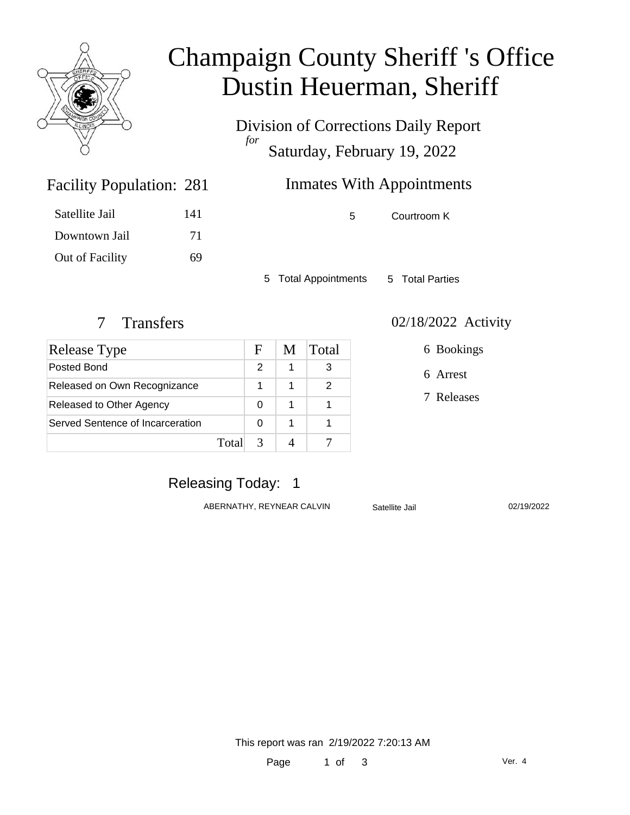

# Champaign County Sheriff 's Office Dustin Heuerman, Sheriff

Division of Corrections Daily Report *for* Saturday, February 19, 2022

# Inmates With Appointments

Facility Population: 281

| Satellite Jail  | 141 |
|-----------------|-----|
| Downtown Jail   | 71  |
| Out of Facility | 69  |

5 Courtroom K

5 Total Appointments 5 Total Parties

| Release Type                     |       | F | M | Total |
|----------------------------------|-------|---|---|-------|
| Posted Bond                      |       | 2 |   |       |
| Released on Own Recognizance     |       |   |   |       |
| Released to Other Agency         |       |   |   |       |
| Served Sentence of Incarceration |       |   |   |       |
|                                  | Total |   |   |       |

#### 7 Transfers 02/18/2022 Activity

6 Bookings

6 Arrest

7 Releases

# Releasing Today: 1

ABERNATHY, REYNEAR CALVIN Satellite Jail 02/19/2022

This report was ran 2/19/2022 7:20:13 AM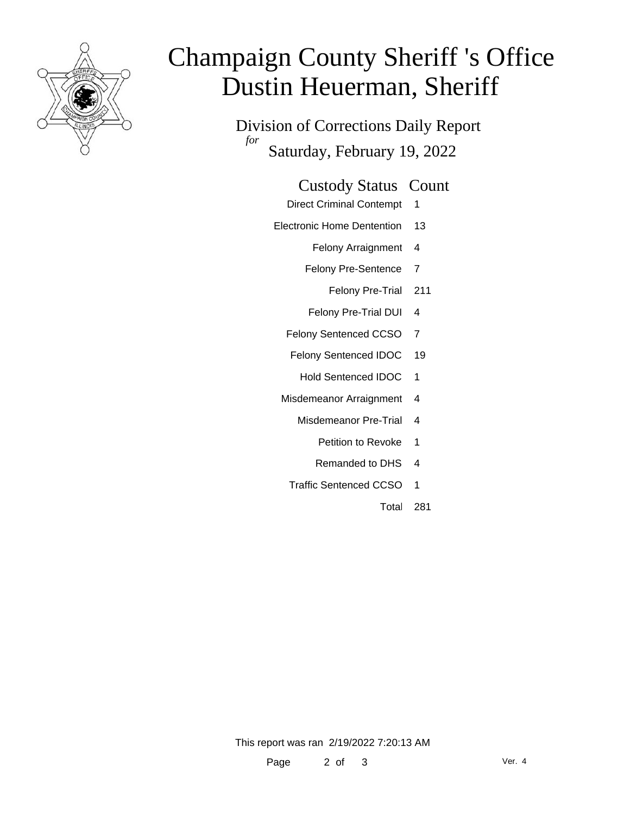

# Champaign County Sheriff 's Office Dustin Heuerman, Sheriff

Division of Corrections Daily Report *for* Saturday, February 19, 2022

#### Custody Status Count

- Direct Criminal Contempt 1
- Electronic Home Dentention 13
	- Felony Arraignment 4
	- Felony Pre-Sentence 7
		- Felony Pre-Trial 211
	- Felony Pre-Trial DUI 4
	- Felony Sentenced CCSO 7
	- Felony Sentenced IDOC 19
		- Hold Sentenced IDOC 1
	- Misdemeanor Arraignment 4
		- Misdemeanor Pre-Trial 4
			- Petition to Revoke 1
			- Remanded to DHS 4
		- Traffic Sentenced CCSO 1
			- Total 281

This report was ran 2/19/2022 7:20:13 AM